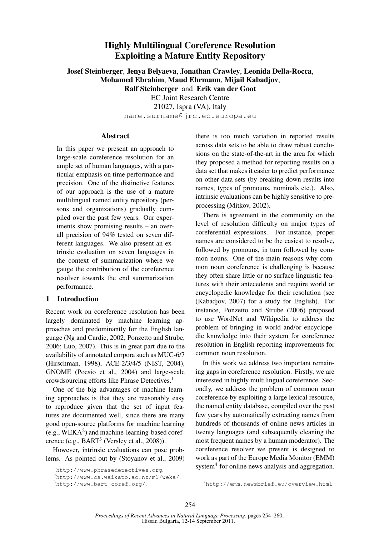# Highly Multilingual Coreference Resolution Exploiting a Mature Entity Repository

Josef Steinberger, Jenya Belyaeva, Jonathan Crawley, Leonida Della-Rocca, Mohamed Ebrahim, Maud Ehrmann, Mijail Kabadjov, Ralf Steinberger and Erik van der Goot EC Joint Research Centre

21027, Ispra (VA), Italy name.surname@jrc.ec.europa.eu

#### Abstract

In this paper we present an approach to large-scale coreference resolution for an ample set of human languages, with a particular emphasis on time performance and precision. One of the distinctive features of our approach is the use of a mature multilingual named entity repository (persons and organizations) gradually compiled over the past few years. Our experiments show promising results – an overall precision of 94% tested on seven different languages. We also present an extrinsic evaluation on seven languages in the context of summarization where we gauge the contribution of the coreference resolver towards the end summarization performance.

## 1 Introduction

Recent work on coreference resolution has been largely dominated by machine learning approaches and predominantly for the English language (Ng and Cardie, 2002; Ponzetto and Strube, 2006; Luo, 2007). This is in great part due to the availability of annotated corpora such as MUC-6/7 (Hirschman, 1998), ACE-2/3/4/5 (NIST, 2004), GNOME (Poesio et al., 2004) and large-scale crowdsourcing efforts like Phrase Detectives.<sup>1</sup>

One of the big advantages of machine learning approaches is that they are reasonably easy to reproduce given that the set of input features are documented well, since there are many good open-source platforms for machine learning (e.g.,  $WEXA<sup>2</sup>$ ) and machine-learning-based coreference (e.g., BART<sup>3</sup> (Versley et al., 2008)).

However, intrinsic evaluations can pose problems. As pointed out by (Stoyanov et al., 2009)

There is agreement in the community on the level of resolution difficulty on major types of coreferential expressions. For instance, proper names are considered to be the easiest to resolve, followed by pronouns, in turn followed by common nouns. One of the main reasons why common noun coreference is challenging is because they often share little or no surface linguistic features with their antecedents and require world or encyclopedic knowledge for their resolution (see (Kabadjov, 2007) for a study for English). For instance, Ponzetto and Strube (2006) proposed to use WordNet and Wikipedia to address the problem of bringing in world and/or encyclopedic knowledge into their system for coreference resolution in English reporting improvements for common noun resolution.

In this work we address two important remaining gaps in coreference resolution. Firstly, we are interested in highly multilingual coreference. Secondly, we address the problem of common noun coreference by exploiting a large lexical resource, the named entity database, compiled over the past few years by automatically extracting names from hundreds of thousands of online news articles in twenty languages (and subsequently cleaning the most frequent names by a human moderator). The coreference resolver we present is designed to work as part of the Europe Media Monitor (EMM) system<sup>4</sup> for online news analysis and aggregation.

<sup>1</sup>http://www.phrasedetectives.org.

<sup>2</sup>http://www.cs.waikato.ac.nz/ml/weka/. <sup>3</sup>http://www.bart-coref.org/.

there is too much variation in reported results across data sets to be able to draw robust conclusions on the state-of-the-art in the area for which they proposed a method for reporting results on a data set that makes it easier to predict performance on other data sets (by breaking down results into names, types of pronouns, nominals etc.). Also, intrinsic evaluations can be highly sensitive to preprocessing (Mitkov, 2002).

<sup>4</sup>http://emm.newsbrief.eu/overview.html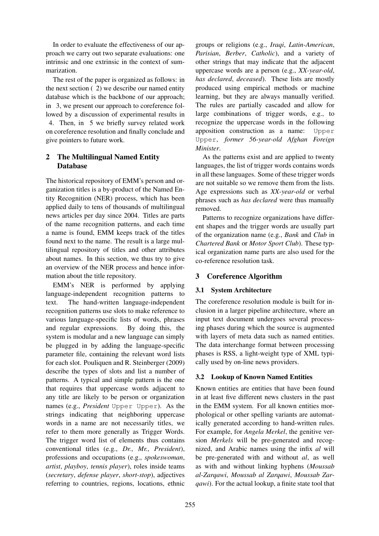In order to evaluate the effectiveness of our approach we carry out two separate evaluations: one intrinsic and one extrinsic in the context of summarization.

The rest of the paper is organized as follows: in the next section ( 2) we describe our named entity database which is the backbone of our approach; in 3, we present our approach to coreference followed by a discussion of experimental results in 4. Then, in 5 we briefly survey related work on coreference resolution and finally conclude and give pointers to future work.

# 2 The Multilingual Named Entity Database

The historical repository of EMM's person and organization titles is a by-product of the Named Entity Recognition (NER) process, which has been applied daily to tens of thousands of multilingual news articles per day since 2004. Titles are parts of the name recognition patterns, and each time a name is found, EMM keeps track of the titles found next to the name. The result is a large multilingual repository of titles and other attributes about names. In this section, we thus try to give an overview of the NER process and hence information about the title repository.

EMM's NER is performed by applying language-independent recognition patterns to text. The hand-written language-independent recognition patterns use slots to make reference to various language-specific lists of words, phrases and regular expressions. By doing this, the system is modular and a new language can simply be plugged in by adding the language-specific parameter file, containing the relevant word lists for each slot. Pouliquen and R. Steinberger (2009) describe the types of slots and list a number of patterns. A typical and simple pattern is the one that requires that uppercase words adjacent to any title are likely to be person or organization names (e.g., *President* Upper Upper). As the strings indicating that neighboring uppercase words in a name are not necessarily titles, we refer to them more generally as Trigger Words. The trigger word list of elements thus contains conventional titles (e.g., *Dr.*, *Mr.*, *President*), professions and occupations (e.g., *spokeswoman*, *artist*, *playboy*, *tennis player*), roles inside teams (*secretary*, *defense player*, *short-stop*), adjectives referring to countries, regions, locations, ethnic groups or religions (e.g., *Iraqi*, *Latin-American*, *Parisian*, *Berber*, *Catholic*), and a variety of other strings that may indicate that the adjacent uppercase words are a person (e.g., *XX-year-old*, *has declared*, *deceased*). These lists are mostly produced using empirical methods or machine learning, but they are always manually verified. The rules are partially cascaded and allow for large combinations of trigger words, e.g., to recognize the uppercase words in the following apposition construction as a name: Upper Upper, *former 56-year-old Afghan Foreign Minister*.

As the patterns exist and are applied to twenty languages, the list of trigger words contains words in all these languages. Some of these trigger words are not suitable so we remove them from the lists. Age expressions such as *XX-year-old* or verbal phrases such as *has declared* were thus manually removed.

Patterns to recognize organizations have different shapes and the trigger words are usually part of the organization name (e.g., *Bank* and *Club* in *Chartered Bank* or *Motor Sport Club*). These typical organization name parts are also used for the co-reference resolution task.

# 3 Coreference Algorithm

# 3.1 System Architecture

The coreference resolution module is built for inclusion in a larger pipeline architecture, where an input text document undergoes several processing phases during which the source is augmented with layers of meta data such as named entities. The data interchange format between processing phases is RSS, a light-weight type of XML typically used by on-line news providers.

# 3.2 Lookup of Known Named Entities

Known entities are entities that have been found in at least five different news clusters in the past in the EMM system. For all known entities morphological or other spelling variants are automatically generated according to hand-written rules. For example, for *Angela Merkel*, the genitive version *Merkels* will be pre-generated and recognized, and Arabic names using the infix *al* will be pre-generated with and without *al*, as well as with and without linking hyphens (*Moussab al-Zarqawi*, *Moussab al Zarqawi*, *Moussab Zarqawi*). For the actual lookup, a finite state tool that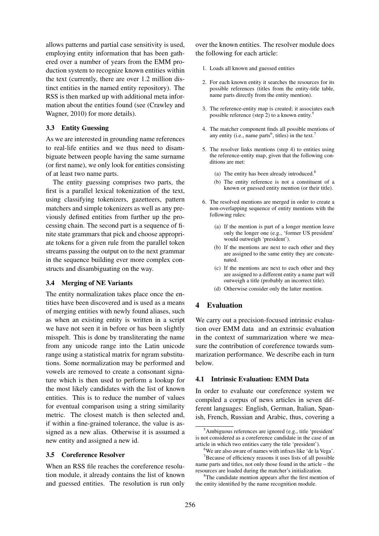allows patterns and partial case sensitivity is used, employing entity information that has been gathered over a number of years from the EMM production system to recognize known entities within the text (currently, there are over 1.2 million distinct entities in the named entity repository). The RSS is then marked up with additional meta information about the entities found (see (Crawley and Wagner, 2010) for more details).

#### 3.3 Entity Guessing

As we are interested in grounding name references to real-life entities and we thus need to disambiguate between people having the same surname (or first name), we only look for entities consisting of at least two name parts.

The entity guessing comprises two parts, the first is a parallel lexical tokenization of the text, using classifying tokenizers, gazetteers, pattern matchers and simple tokenizers as well as any previously defined entities from further up the processing chain. The second part is a sequence of finite state grammars that pick and choose appropriate tokens for a given rule from the parallel token streams passing the output on to the next grammar in the sequence building ever more complex constructs and disambiguating on the way.

#### 3.4 Merging of NE Variants

The entity normalization takes place once the entities have been discovered and is used as a means of merging entities with newly found aliases, such as when an existing entity is written in a script we have not seen it in before or has been slightly misspelt. This is done by transliterating the name from any unicode range into the Latin unicode range using a statistical matrix for ngram substitutions. Some normalization may be performed and vowels are removed to create a consonant signature which is then used to perform a lookup for the most likely candidates with the list of known entities. This is to reduce the number of values for eventual comparison using a string similarity metric. The closest match is then selected and, if within a fine-grained tolerance, the value is assigned as a new alias. Otherwise it is assumed a new entity and assigned a new id.

#### 3.5 Coreference Resolver

When an RSS file reaches the coreference resolution module, it already contains the list of known and guessed entities. The resolution is run only

over the known entities. The resolver module does the following for each article:

- 1. Loads all known and guessed entities
- 2. For each known entity it searches the resources for its possible references (titles from the entity-title table, name parts directly from the entity mention).
- 3. The reference-entity map is created; it associates each possible reference (step 2) to a known entity.<sup>5</sup>
- 4. The matcher component finds all possible mentions of any entity (i.e., name parts<sup>6</sup>, titles) in the text.<sup>7</sup>
- 5. The resolver links mentions (step 4) to entities using the reference-entity map, given that the following conditions are met:
	- (a) The entity has been already introduced.<sup>8</sup>
	- (b) The entity reference is not a constituent of a known or guessed entity mention (or their title).
- 6. The resolved mentions are merged in order to create a non-overlapping sequence of entity mentions with the following rules:
	- (a) If the mention is part of a longer mention leave only the longer one (e.g., 'former US president' would outweigh 'president').
	- (b) If the mentions are next to each other and they are assigned to the same entity they are concatenated.
	- (c) If the mentions are next to each other and they are assigned to a different entity a name part will outweigh a title (probably an incorrect title).
	- (d) Otherwise consider only the latter mention.

## 4 Evaluation

We carry out a precision-focused intrinsic evaluation over EMM data and an extrinsic evaluation in the context of summarization where we measure the contribution of coreference towards summarization performance. We describe each in turn below.

### 4.1 Intrinsic Evaluation: EMM Data

In order to evaluate our coreference system we compiled a corpus of news articles in seven different languages: English, German, Italian, Spanish, French, Russian and Arabic, thus, covering a

<sup>5</sup>Ambiguous references are ignored (e.g., title 'president' is not considered as a coreference candidate in the case of an article in which two entities carry the title 'president').

<sup>&</sup>lt;sup>6</sup>We are also aware of names with infixes like 'de la Vega'.

<sup>&</sup>lt;sup>7</sup>Because of efficiency reasons it uses lists of all possible name parts and titles, not only those found in the article – the resources are loaded during the matcher's initialization.

<sup>8</sup>The candidate mention appears after the first mention of the entity identified by the name recognition module.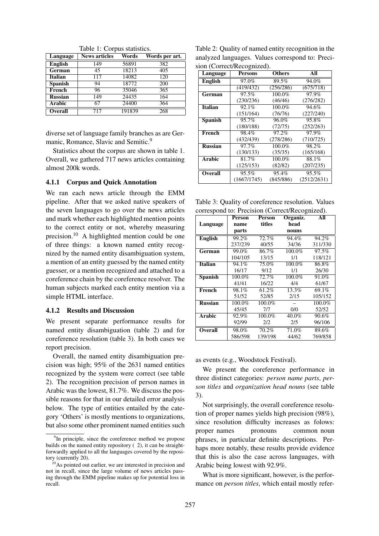| Language       | <b>News articles</b> | Words  | Words per art. |
|----------------|----------------------|--------|----------------|
| <b>English</b> | 149                  | 56891  | 382            |
| German         | 45                   | 18213  | 405            |
| <b>Italian</b> | 117                  | 14082  | 120            |
| <b>Spanish</b> | 94                   | 18772  | 200            |
| French         | 96                   | 35046  | 365            |
| <b>Russian</b> | 149                  | 24435  | 164            |
| <b>Arabic</b>  | 67                   | 24400  | 364            |
| <b>Overall</b> | 717                  | 191839 | 268            |

Table 1: Corpus statistics.

diverse set of language family branches as are Germanic, Romance, Slavic and Semitic.<sup>9</sup>

Statistics about the corpus are shown in table 1. Overall, we gathered 717 news articles containing almost 200k words.

#### 4.1.1 Corpus and Quick Annotation

We ran each news article through the EMM pipeline. After that we asked native speakers of the seven languages to go over the news articles and mark whether each highlighted mention points to the correct entity or not, whereby measuring precision.<sup>10</sup> A highlighted mention could be one of three things: a known named entity recognized by the named entity disambiguation system, a mention of an entity guessed by the named entity guesser, or a mention recognized and attached to a coreference chain by the coreference resolver. The human subjects marked each entity mention via a simple HTML interface.

#### 4.1.2 Results and Discussion

We present separate performance results for named entity disambiguation (table 2) and for coreference resolution (table 3). In both cases we report precision.

Overall, the named entity disambiguation precision was high; 95% of the 2631 named entities recognized by the system were correct (see table 2). The recognition precision of person names in Arabic was the lowest, 81.7%. We discuss the possible reasons for that in our detailed error analysis below. The type of entities entailed by the category 'Others' is mostly mentions to organizations, but also some other prominent named entities such

Table 2: Quality of named entity recognition in the analyzed languages. Values correspond to: Precision (Correct/Recognized).

| Language       | <b>Persons</b> | <b>Others</b> | All                 |  |
|----------------|----------------|---------------|---------------------|--|
| <b>English</b> | 97.0%          | 89.5%         | 94.0%               |  |
|                | (419/432)      | (256/286)     | (675/718)           |  |
| German         | 97.5%          | 100.0%        | 97.9%               |  |
|                | (230/236)      | (46/46)       | (276/282)           |  |
| <b>Italian</b> | 92.1%          | 100.0%        | $94.\overline{6\%}$ |  |
|                | (151/164)      | (76/76)       | (227/240)           |  |
| <b>Spanish</b> | 95.7%          | 96.0%         | 95.8%               |  |
|                | (180/188)      | (72/75)       | (252/263)           |  |
| French         | 98.4%          | 97.2%         | 97.9%               |  |
|                | (432/439)      | (278/286)     | (710/725)           |  |
| <b>Russian</b> | 97.7%          | 100.0%        | 98.2%               |  |
|                | (130/133)      | (35/35)       | (165/168)           |  |
| <b>Arabic</b>  | 81.7%          | 100.0%        | 88.1%               |  |
|                | (125/153)      | (82/82)       | (207/235)           |  |
| <b>Overall</b> | 95.5%          | 95.4%         | 95.5%               |  |
|                | (1667/1745)    | (845/886)     | (2512/2631)         |  |

Table 3: Quality of coreference resolution. Values correspond to: Precision (Correct/Recognized).

| $\frac{1}{2}$  | Person  | <b>Person</b> | Organiz. | All     |
|----------------|---------|---------------|----------|---------|
| Language       | name    | titles        | head     |         |
|                | parts   |               | nouns    |         |
| English        | 99.2%   | 72.7%         | 94.4%    | 94.2%   |
|                | 237/239 | 40/55         | 34/36    | 311/330 |
| German         | 99.0%   | 86.7%         | 100.0%   | 97.5%   |
|                | 104/105 | 13/15         | 1/1      | 118/121 |
| <b>Italian</b> | 94.1%   | 75.0%         | 100.0%   | 86.8%   |
|                | 16/17   | 9/12          | 1/1      | 26/30   |
| <b>Spanish</b> | 100.0%  | 72.7%         | 100.0%   | 91.0%   |
|                | 41/41   | 16/22         | 4/4      | 61/67   |
| French         | 98.1%   | 61.2%         | 13.3%    | 69.1%   |
|                | 51/52   | 52/85         | 2/15     | 105/152 |
| <b>Russian</b> | 100.0%  | 100.0%        |          | 100.0%  |
|                | 45/45   | 7/7           | 0/0      | 52/52   |
| <b>Arabic</b>  | 92.9%   | 100.0%        | 40.0%    | 90.6%   |
|                | 92/99   | 2/2           | 2/5      | 96/106  |
| <b>Overall</b> | 98.0%   | 70.2%         | 71.0%    | 89.6%   |
|                | 586/598 | 139/198       | 44/62    | 769/858 |

#### as events (e.g., Woodstock Festival).

We present the coreference performance in three distinct categories: *person name parts*, *person titles* and *organization head nouns* (see table 3).

Not surprisingly, the overall coreference resolution of proper names yields high precision (98%), since resolution difficulty increases as folows: proper names bronouns common noun phrases, in particular definite descriptions. Perhaps more notably, these results provide evidence that this is also the case across languages, with Arabic being lowest with 92.9%.

What is more significant, however, is the performance on *person titles*, which entail mostly refer-

<sup>&</sup>lt;sup>9</sup>In principle, since the coreference method we propose builds on the named entity repository ( 2), it can be straightforwardly applied to all the languages covered by the repository (currently 20).

<sup>&</sup>lt;sup>10</sup>As pointed out earlier, we are interested in precision and not in recall, since the large volume of news articles passing through the EMM pipeline makes up for potential loss in recall.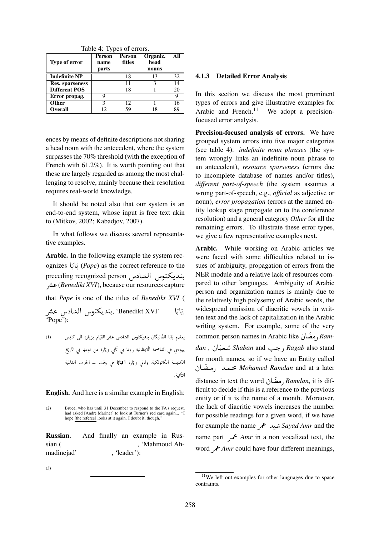Table 4: Types of errors.

| Type of error        | ╯<br>Person<br>name<br>parts | Person<br>titles | Organiz.<br>head<br>nouns | All |
|----------------------|------------------------------|------------------|---------------------------|-----|
| <b>Indefinite NP</b> |                              | 18               | 13                        | 32  |
| Res. sparseness      |                              | 11               |                           | 14  |
| <b>Different POS</b> |                              | 18               |                           | 20  |
| Error propag.        | Q                            |                  |                           | 9   |
| Other                |                              | 12               |                           |     |
| <b>Overall</b>       | 12                           | 59               | 18                        | 89  |

ences by means of definite descriptions not sharing a head noun with the antecedent, where the system surpasses the 70% threshold (with the exception of French with 61.2%). It is worth pointing out that these are largely regarded as among the most challenging to resolve, mainly because their resolution requires real-world knowledge.

It should be noted also that our system is an end-to-end system, whose input is free text akin to (Mitkov, 2002; Kabadjov, 2007).

In what follows we discuss several representative examples.

Arabic. In the following example the system recognizes A (*Pope*) as the correct reference to the ן<br>-ر<br>ت . A  $\overline{a}$ ر<br>ت . ognizes باب (*rope)* as the correct reference to the<br>بنديكتوس الشادس preceding recognized person ر<br>پ !<br>. . Qå «(*Benedikt XVI*), because our resources capture r<br>a that *Pope* is one of the titles of *Benedikt XVI* ( ا −−− Kanedikt XVI', بنديكتوس السّادس عشر  $\ddot{\phantom{0}}$ <u>ر</u> ֦ .  $\overline{\phantom{a}}$ K . A  $\overline{\phantom{a}}$ K . ,ئائا 'Pope'): يعتزم بَابَا الفَاتيكَان **بنديكتوس السَادس عشر** القيَام بزيَاره الَى كنيس (1) j J K í J  $\ddot{\cdot}$ J j Į ֦ . j  $\overline{a}$ ֦֧֦֧֦֧֦֧֦֧֦֧֦֧֦ J  $\overline{\phantom{a}}$ ׇ֦֧֡ K . A J K . J J t يهودي في القاصمة الايظالية رومًا في ثَاني زيَارة من نوعهًا في تَاريخ  $\vdots$  $\overline{a}$ Į ֦ ֦ l, K í Į j  $\overline{\phantom{a}}$  $\ddot{\cdot}$ ֦ j j ļ J J @ l, j Į ֦

J .<br>الكنيسة الكاثولكية. وتَاتى زيَارة **ا نبَابَا ف**ى وقت … الحرب العَالمية ļ j l, ֦֧֦ j  $\overline{a}$ K . A  $\overline{a}$ J K í ֦֧֦ J  $\overline{a}$ J ļ J j .  $\overline{a}$ الثّانية ļ j J  $\ddot{\phantom{0}}$ 

English. And here is a similar example in English:

<sup>(2)</sup> Bruce, who has until 31 December to respond to the FA's request, had asked [Andre Mariner] to look at Turner's red card again... "I hope [the referee] looks at it again. I doubt it, though."

| Russian.   |  | And finally an example in Rus- |  |
|------------|--|--------------------------------|--|
| sian (     |  | . 'Mahmoud Ah-                 |  |
| madinejad' |  | $'leader$ :                    |  |

ционально<del>му телевидения и по его слова</del>м, Иран и по его словам, Иран и словам, Иран и словам, Иран и словам, Ир

 $(3)$ 

#### 4.1.3 Detailed Error Analysis

In this section we discuss the most prominent types of errors and give illustrative examples for Arabic and French.<sup>11</sup> We adopt a precisionfocused error analysis.

Precision-focused analysis of errors. We have grouped system errors into five major categories (see table 4): *indefinite noun phrases* (the system wrongly links an indefinite noun phrase to an antecedent), *resource sparseness* (errors due to incomplete database of names and/or titles), *different part-of-speech* (the system assumes a wrong part-of-speech, e.g., *official* as adjective or noun), *error propagation* (errors at the named entity lookup stage propagate on to the coreference resolution) and a general category *Other* for all the remaining errors. To illustrate these error types, we give a few representative examples next.

Arabic. While working on Arabic articles we were faced with some difficulties related to issues of ambiguity, propagation of errors from the NER module and a relative lack of resources compared to other languages. Ambiguity of Arabic person and organization names is mainly due to the relatively high polysemy of Arabic words, the widespread omission of diacritic vowels in written text and the lack of capitalization in the Arabic writing system. For example, some of the very<br>مضّان ike ، Arabic like writing system. For example, some of the very<br>رمضًان *Ram*ra*m- دهص*ان kam- and <sub>لا</sub>مضان kam-<br>dan , جب *Shaban* and شعبًان , *Ragab* also stand .<br>. J for month names, so if we have an Entity called<br> **A***ohamed Ramdan* and at a later ÓP YÒm× *Mohamed Ramdan* and at a later *Mohamed Ramdan* and at a fact<br>distance in text the word مضّان, Ramdan, it is difficult to decide if this is a reference to the previous entity or if it is the name of a month. Moreover, the lack of diacritic vowels increases the number for possible readings for a given word, if we have for example the name QÔ« YJ *Sayad Amr* and the  $\cdot$ name part QÔ« *Amr* in a non vocalized text, the word  $\rightarrow$  *Amr* could have four different meanings,

 $11$ We left out examples for other languages due to space contraints.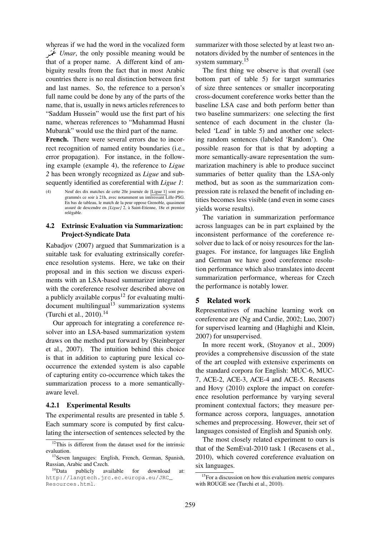whereas if we had the word in the vocalized form whereas if we had the word in the vocalized form<br>*Umar*, the only possible meaning would be  $\overline{1}$ j<br>J ļ that of a proper name. A different kind of ambiguity results from the fact that in most Arabic countries there is no real distinction between first and last names. So, the reference to a person's full name could be done by any of the parts of the name, that is, usually in news articles references to "Saddam Hussein" would use the first part of his name, whereas references to "Muhammad Husni Mubarak" would use the third part of the name.

French. There were several errors due to incorrect recognition of named entity boundaries (i.e., error propagation). For instance, in the following example (example 4), the reference to *Ligue 2* has been wrongly recognized as *Ligue* and subsequently identified as coreferential with *Ligue 1*:

### 4.2 Extrinsic Evaluation via Summarization: Project-Syndicate Data

Kabadjov (2007) argued that Summarization is a suitable task for evaluating extrinsically coreference resolution systems. Here, we take on their proposal and in this section we discuss experiments with an LSA-based summarizer integrated with the coreference resolver described above on a publicly available corpus<sup>12</sup> for evaluating multi $document$  multilingual $^{13}$  summarization systems (Turchi et al., 2010).<sup>14</sup>

Our approach for integrating a coreference resolver into an LSA-based summarization system draws on the method put forward by (Steinberger et al., 2007). The intuition behind this choice is that in addition to capturing pure lexical cooccurrence the extended system is also capable of capturing entity co-occurrence which takes the summarization process to a more semanticallyaware level.

#### 4.2.1 Experimental Results

The experimental results are presented in table 5. Each summary score is computed by first calculating the intersection of sentences selected by the

summarizer with those selected by at least two annotators divided by the number of sentences in the system summary.<sup>15</sup>

The first thing we observe is that overall (see bottom part of table 5) for target summaries of size three sentences or smaller incorporating cross-document coreference works better than the baseline LSA case and both perform better than two baseline summarizers: one selecting the first sentence of each document in the cluster (labeled 'Lead' in table 5) and another one selecting random sentences (labeled 'Random'). One possible reason for that is that by adopting a more semantically-aware representation the summarization machinery is able to produce succinct summaries of better quality than the LSA-only method, but as soon as the summarization compression rate is relaxed the benefit of including entities becomes less visible (and even in some cases yields worse results).

The variation in summarization performance across languages can be in part explained by the inconsistent performance of the coreference resolver due to lack of or noisy resources for the languages. For instance, for languages like English and German we have good coreference resolution performance which also translates into decent summarization performance, whereas for Czech the performance is notably lower.

## 5 Related work

Representatives of machine learning work on coreference are (Ng and Cardie, 2002; Luo, 2007) for supervised learning and (Haghighi and Klein, 2007) for unsupervised.

In more recent work, (Stoyanov et al., 2009) provides a comprehensive discussion of the state of the art coupled with extensive experiments on the standard corpora for English: MUC-6, MUC-7, ACE-2, ACE-3, ACE-4 and ACE-5. Recasens and Hovy (2010) explore the impact on coreference resolution performance by varying several prominent contextual factors; they measure performance across corpora, languages, annotation schemes and preprocessing. However, their set of languages consisted of English and Spanish only.

The most closely related experiment to ours is that of the SemEval-2010 task 1 (Recasens et al., 2010), which covered coreference evaluation on six languages.

<sup>(4)</sup> Neuf des dix matches de cette 20e journée de [Ligue 1] sont programmés ce soir à 21h, avec notamment un intéressant Lille-PSG. En bas de tableau, le match de la peur oppose Grenoble, quasiment assuré de descendre en *[Ligue]* 2, à Saint-Etienne, 18e et premier relégable.

<sup>&</sup>lt;sup>12</sup>This is different from the dataset used for the intrinsic evaluation.

<sup>&</sup>lt;sup>13</sup>Seven languages: English, French, German, Spanish, Russian, Arabic and Czech.

<sup>14</sup>Data publicly available for download at: http://langtech.jrc.ec.europa.eu/JRC\_ Resources.html.

 $15$  For a discussion on how this evaluation metric compares with ROUGE see (Turchi et al., 2010).